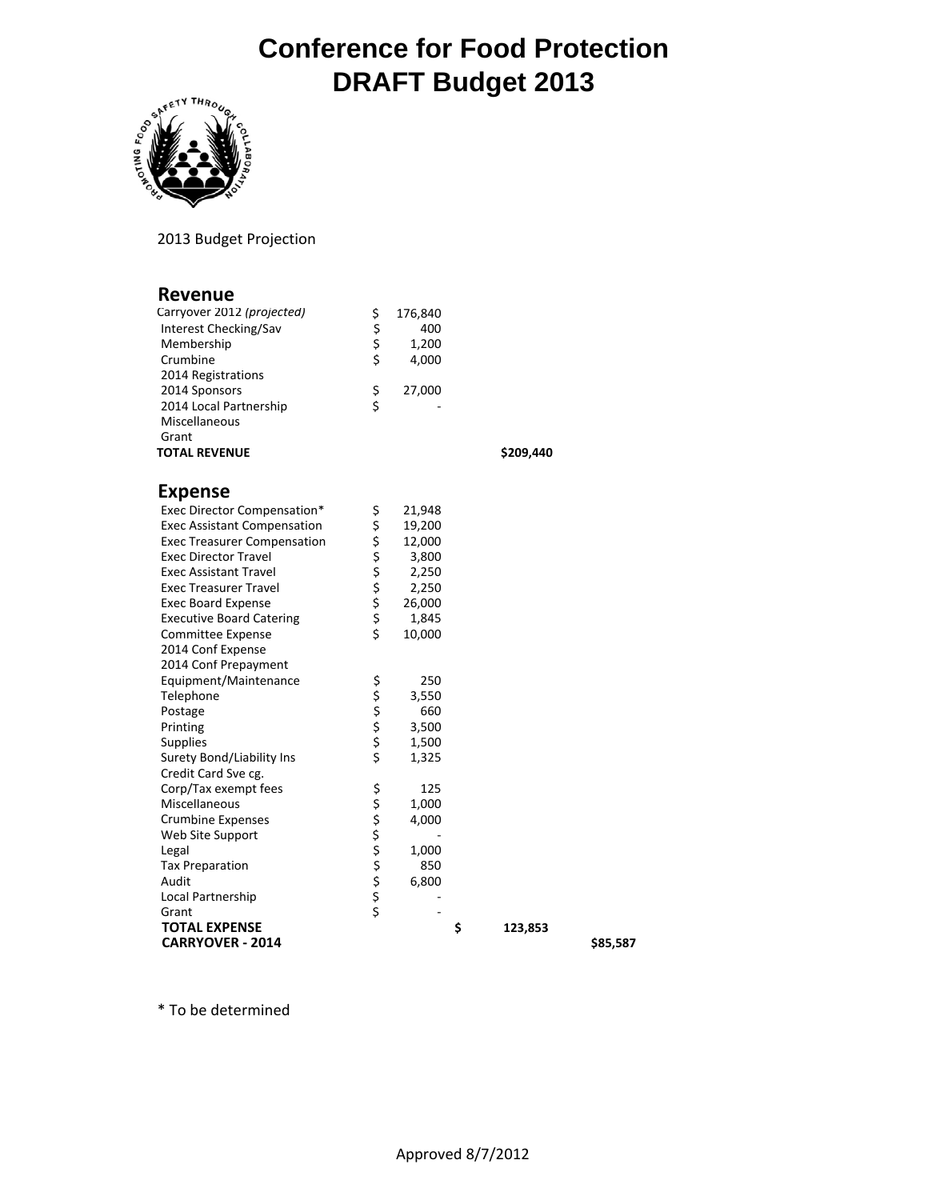## **Conference for Food Protection DRAFT Budget 2013**



## 2013 Budget Projection

## **Revenue**

| Carryover 2012 (projected)         | Ş          | 176,840 |               |          |
|------------------------------------|------------|---------|---------------|----------|
| Interest Checking/Sav              |            | 400     |               |          |
| Membership                         | \$<br>\$\$ | 1,200   |               |          |
| Crumbine                           |            | 4,000   |               |          |
| 2014 Registrations                 |            |         |               |          |
| 2014 Sponsors                      | Ş          | 27,000  |               |          |
| 2014 Local Partnership             | \$         |         |               |          |
| Miscellaneous                      |            |         |               |          |
| Grant                              |            |         |               |          |
| <b>TOTAL REVENUE</b>               |            |         | \$209,440     |          |
|                                    |            |         |               |          |
| <b>Expense</b>                     |            |         |               |          |
| Exec Director Compensation*        | \$         | 21,948  |               |          |
| <b>Exec Assistant Compensation</b> |            | 19,200  |               |          |
| <b>Exec Treasurer Compensation</b> |            | 12,000  |               |          |
| <b>Exec Director Travel</b>        |            | 3,800   |               |          |
| <b>Exec Assistant Travel</b>       |            | 2,250   |               |          |
| <b>Exec Treasurer Travel</b>       |            | 2,250   |               |          |
| <b>Exec Board Expense</b>          |            | 26,000  |               |          |
| <b>Executive Board Catering</b>    | ひとひとひとり    | 1,845   |               |          |
| Committee Expense                  |            | 10,000  |               |          |
| 2014 Conf Expense                  |            |         |               |          |
| 2014 Conf Prepayment               |            |         |               |          |
| Equipment/Maintenance              |            | 250     |               |          |
| Telephone                          |            | 3,550   |               |          |
| Postage                            |            | 660     |               |          |
| Printing                           | ちゅうさ       | 3,500   |               |          |
| <b>Supplies</b>                    |            | 1,500   |               |          |
| <b>Surety Bond/Liability Ins</b>   | \$         | 1,325   |               |          |
| Credit Card Sve cg.                |            |         |               |          |
| Corp/Tax exempt fees               |            | 125     |               |          |
| Miscellaneous                      |            | 1,000   |               |          |
| <b>Crumbine Expenses</b>           |            | 4,000   |               |          |
| Web Site Support                   |            |         |               |          |
| Legal                              |            | 1,000   |               |          |
| <b>Tax Preparation</b>             |            | 850     |               |          |
| Audit                              |            | 6,800   |               |          |
| Local Partnership                  | ささささ さささ   |         |               |          |
| Grant                              |            |         |               |          |
| <b>TOTAL EXPENSE</b>               |            |         | \$<br>123,853 |          |
| <b>CARRYOVER - 2014</b>            |            |         |               | \$85,587 |

\* To be determined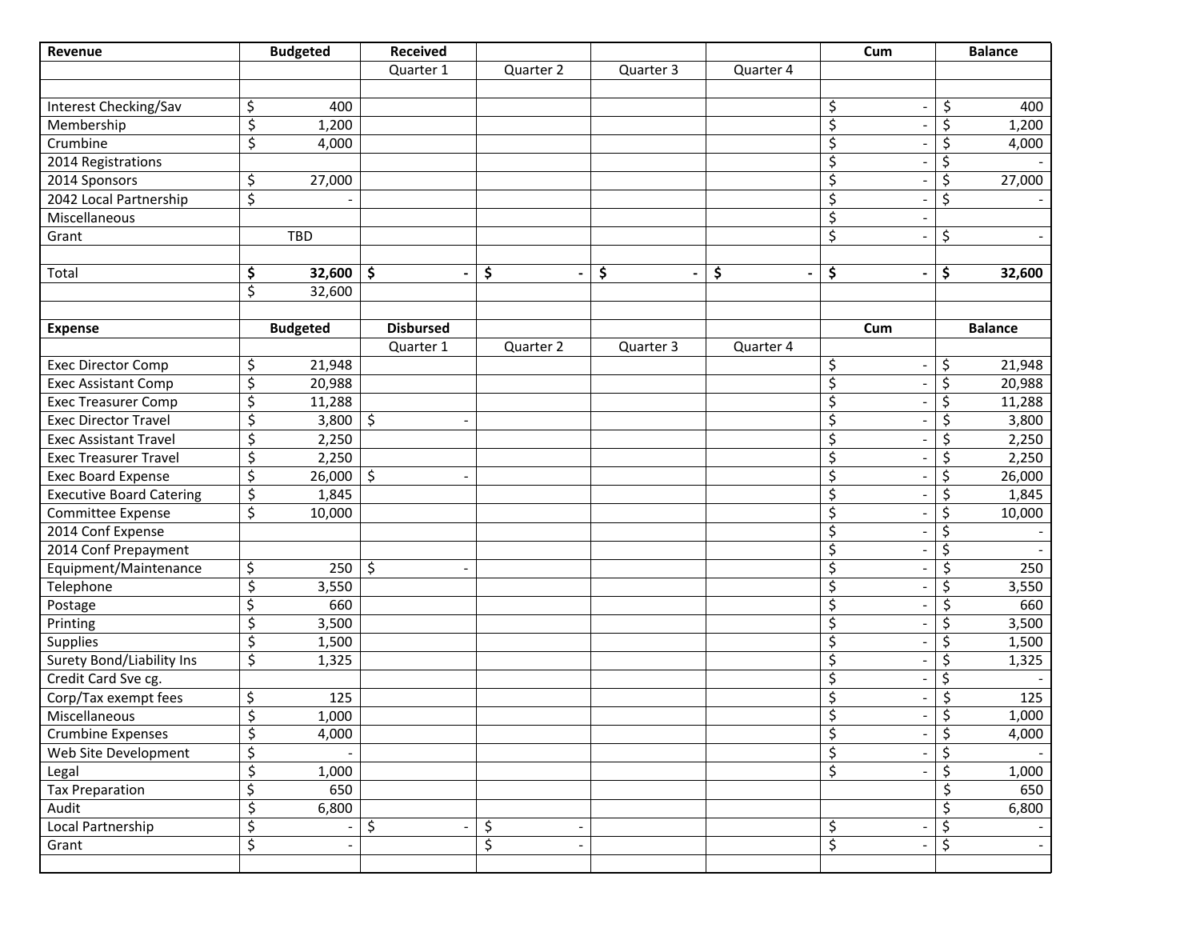| Revenue                         |                    | <b>Budgeted</b> | <b>Received</b>                                 |                      |                      |                      | Cum                            |    | <b>Balance</b> |
|---------------------------------|--------------------|-----------------|-------------------------------------------------|----------------------|----------------------|----------------------|--------------------------------|----|----------------|
|                                 |                    |                 | Quarter 1                                       | Quarter 2            | Quarter 3            | Quarter 4            |                                |    |                |
|                                 |                    |                 |                                                 |                      |                      |                      |                                |    |                |
| Interest Checking/Sav           | \$                 | 400             |                                                 |                      |                      |                      | \$<br>$\overline{\phantom{a}}$ | \$ | 400            |
| Membership                      | \$                 | 1,200           |                                                 |                      |                      |                      | \$<br>$\overline{\phantom{a}}$ | \$ | 1,200          |
| Crumbine                        | \$                 | 4,000           |                                                 |                      |                      |                      | \$<br>$\overline{\phantom{a}}$ | \$ | 4,000          |
| 2014 Registrations              |                    |                 |                                                 |                      |                      |                      | \$<br>$\overline{\phantom{a}}$ | \$ |                |
| 2014 Sponsors                   | \$                 | 27,000          |                                                 |                      |                      |                      | \$<br>$\overline{\phantom{a}}$ | \$ | 27,000         |
| 2042 Local Partnership          | \$                 |                 |                                                 |                      |                      |                      | \$<br>$\overline{\phantom{a}}$ | \$ |                |
| Miscellaneous                   |                    |                 |                                                 |                      |                      |                      | \$<br>$\overline{\phantom{a}}$ |    |                |
| Grant                           |                    | <b>TBD</b>      |                                                 |                      |                      |                      | \$<br>$\blacksquare$           | \$ |                |
|                                 |                    |                 |                                                 |                      |                      |                      |                                |    |                |
| Total                           | \$                 | 32,600          | $\ddot{\bm{\zeta}}$<br>$\overline{\phantom{a}}$ | \$<br>$\overline{a}$ | \$<br>$\blacksquare$ | \$<br>$\blacksquare$ | \$<br>$\blacksquare$           | \$ | 32,600         |
|                                 | \$                 | 32,600          |                                                 |                      |                      |                      |                                |    |                |
|                                 |                    |                 |                                                 |                      |                      |                      |                                |    |                |
| <b>Expense</b>                  |                    | <b>Budgeted</b> | <b>Disbursed</b>                                |                      |                      |                      | Cum                            |    | <b>Balance</b> |
|                                 |                    |                 | Quarter 1                                       | Quarter 2            | Quarter 3            | Quarter 4            |                                |    |                |
| <b>Exec Director Comp</b>       | \$                 | 21,948          |                                                 |                      |                      |                      | \$                             | \$ | 21,948         |
| <b>Exec Assistant Comp</b>      | \$                 | 20,988          |                                                 |                      |                      |                      | \$<br>$\overline{\phantom{a}}$ | \$ | 20,988         |
| <b>Exec Treasurer Comp</b>      | \$                 | 11,288          |                                                 |                      |                      |                      | \$<br>$\overline{\phantom{a}}$ | \$ | 11,288         |
| <b>Exec Director Travel</b>     | \$                 | 3,800           | \$                                              |                      |                      |                      | \$                             | \$ | 3,800          |
| <b>Exec Assistant Travel</b>    | \$                 | 2,250           |                                                 |                      |                      |                      | \$<br>$\overline{\phantom{a}}$ | \$ | 2,250          |
| <b>Exec Treasurer Travel</b>    | \$                 | 2,250           |                                                 |                      |                      |                      | \$<br>$\overline{\phantom{a}}$ | \$ | 2,250          |
| <b>Exec Board Expense</b>       | \$                 | 26,000          | \$                                              |                      |                      |                      | \$<br>$\overline{\phantom{a}}$ | \$ | 26,000         |
| <b>Executive Board Catering</b> | \$                 | 1,845           |                                                 |                      |                      |                      | \$<br>$\blacksquare$           | \$ | 1,845          |
| Committee Expense               | \$                 | 10,000          |                                                 |                      |                      |                      | \$<br>$\overline{\phantom{a}}$ | \$ | 10,000         |
| 2014 Conf Expense               |                    |                 |                                                 |                      |                      |                      | \$<br>$\blacksquare$           | \$ |                |
| 2014 Conf Prepayment            |                    |                 |                                                 |                      |                      |                      | \$                             | \$ |                |
| Equipment/Maintenance           | \$                 | 250             | \$                                              |                      |                      |                      | \$                             | \$ | 250            |
| Telephone                       | \$                 | 3,550           |                                                 |                      |                      |                      | \$                             | \$ | 3,550          |
| Postage                         | \$                 | 660             |                                                 |                      |                      |                      | \$                             | \$ | 660            |
| Printing                        | \$                 | 3,500           |                                                 |                      |                      |                      | \$                             | \$ | 3,500          |
| Supplies                        | \$                 | 1,500           |                                                 |                      |                      |                      | \$                             | \$ | 1,500          |
| Surety Bond/Liability Ins       | \$                 | 1,325           |                                                 |                      |                      |                      | \$                             | \$ | 1,325          |
| Credit Card Sve cg.             |                    |                 |                                                 |                      |                      |                      | \$                             | \$ |                |
| Corp/Tax exempt fees            | \$                 | 125             |                                                 |                      |                      |                      | \$<br>$\overline{\phantom{a}}$ | \$ | 125            |
| Miscellaneous                   | $\mathsf{\hat{S}}$ | 1,000           |                                                 |                      |                      |                      | \$                             | Ś. | 1,000          |
| <b>Crumbine Expenses</b>        | \$                 | 4,000           |                                                 |                      |                      |                      | \$<br>$\blacksquare$           | \$ | 4,000          |
| Web Site Development            | \$                 |                 |                                                 |                      |                      |                      | \$                             | \$ |                |
| Legal                           | \$                 | 1,000           |                                                 |                      |                      |                      | \$<br>$-$                      | \$ | 1,000          |
| <b>Tax Preparation</b>          | \$                 | 650             |                                                 |                      |                      |                      |                                | \$ | 650            |
| Audit                           | \$                 | 6,800           |                                                 |                      |                      |                      |                                | \$ | 6,800          |
| Local Partnership               | \$                 |                 | \$                                              | \$                   |                      |                      | \$<br>$\overline{\phantom{a}}$ | \$ |                |
| Grant                           | \$                 |                 |                                                 | \$                   |                      |                      | \$<br>$\overline{\phantom{a}}$ | \$ |                |
|                                 |                    |                 |                                                 |                      |                      |                      |                                |    |                |